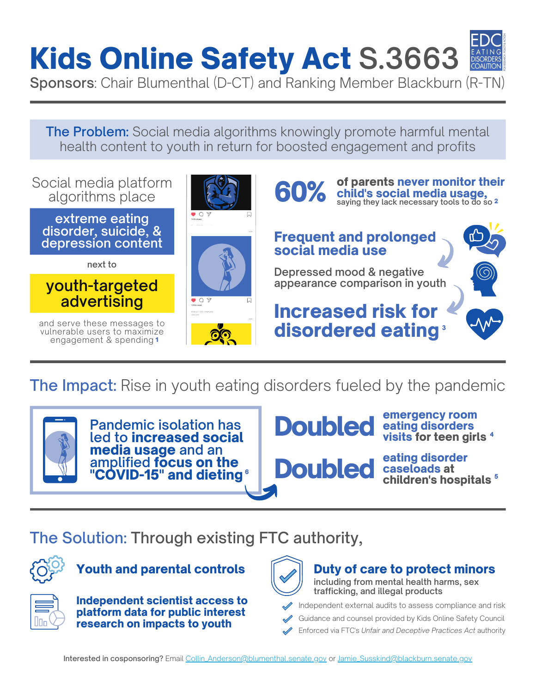# Kids [Online](https://www.congress.gov/bill/117th-congress/senate-bill/3663?q=%7B%22search%22%3A%5B%22blumenthal%22%2C%22blumenthal%22%5D%7D&s=1&r=1) Safety Act **[S.3663](https://www.congress.gov/bill/117th-congress/senate-bill/3663?q=%7B%22search%22%3A%5B%22blumenthal%22%2C%22blumenthal%22%5D%7D&s=1&r=1)**



Sponsors: Chair Blumenthal (D-CT) and Ranking Member Blackburn (R-TN)

The Problem: Social media algorithms knowingly promote harmful mental health content to youth in return for boosted engagement and profits



The Impact: Rise in youth eating disorders fueled by the pandemic



**Pandemic isolation has led to** increased social media usage **and an amplified** focus on the "COVID-15" and dieting **Doubled** 

emergency room visits for teen girls<sup>4</sup>

 $\bullet$  **Doubled** caseloads at  $\bullet$  children's hospitals  $\bullet$ eating disorder<br>caseloads at

### The Solution: Through existing FTC authority,



#### Youth and parental controls  $\|\hspace{0.9mm}\|$  Duty of care to protect minors



Independent scientist access to platform data for public interest research on impacts to youth



#### **including from mental health harms, sex trafficking, and illegal products**

Independent external audits to assess compliance and risk

Guidance and counsel provided by Kids Online Safety Council

Enforced via FTC's *Unfair and Deceptive Practices Act* authority